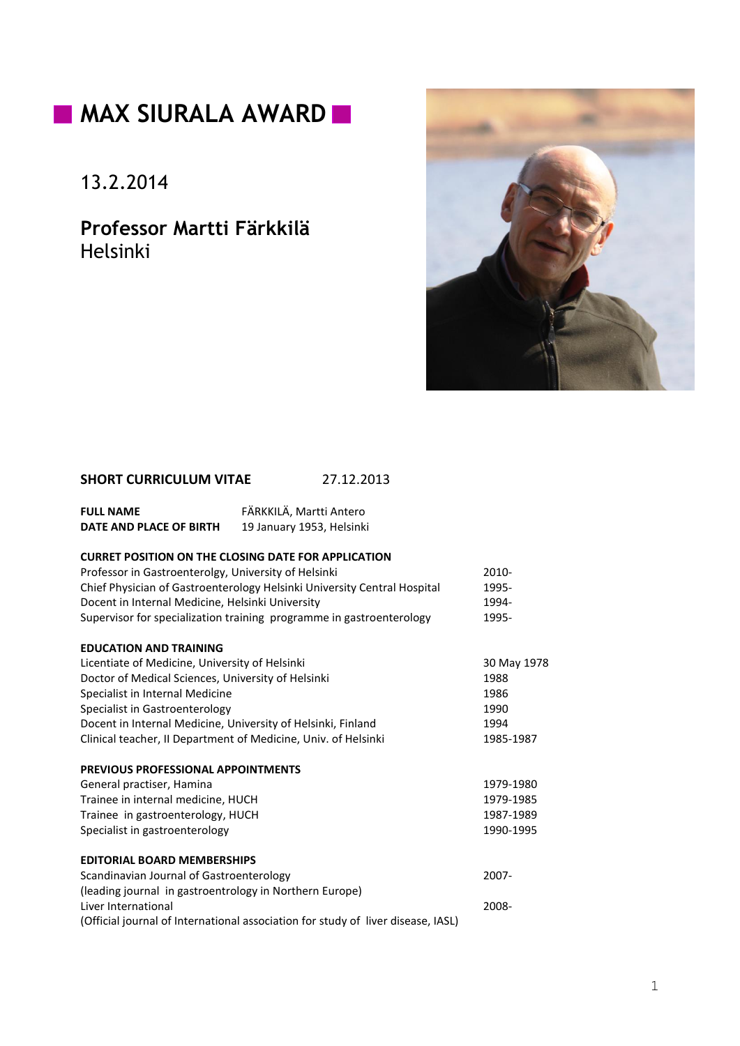# **MAX SIURALA AWARD**

13.2.2014

**Professor Martti Färkkilä** Helsinki



## **SHORT CURRICULUM VITAE** 27.12.2013

| <b>FULL NAME</b>        | FÄRKKILÄ, Martti Antero   |
|-------------------------|---------------------------|
| DATE AND PLACE OF BIRTH | 19 January 1953, Helsinki |

## **CURRET POSITION ON THE CLOSING DATE FOR APPLICATION**

| Professor in Gastroenterolgy, University of Helsinki                             | $2010 -$    |
|----------------------------------------------------------------------------------|-------------|
| Chief Physician of Gastroenterology Helsinki University Central Hospital         | 1995-       |
| Docent in Internal Medicine, Helsinki University                                 | 1994-       |
| Supervisor for specialization training programme in gastroenterology             | 1995-       |
| <b>EDUCATION AND TRAINING</b>                                                    |             |
| Licentiate of Medicine, University of Helsinki                                   | 30 May 1978 |
| Doctor of Medical Sciences, University of Helsinki                               | 1988        |
| Specialist in Internal Medicine                                                  | 1986        |
| Specialist in Gastroenterology                                                   | 1990        |
| Docent in Internal Medicine, University of Helsinki, Finland                     | 1994        |
| Clinical teacher, II Department of Medicine, Univ. of Helsinki                   | 1985-1987   |
| <b>PREVIOUS PROFESSIONAL APPOINTMENTS</b>                                        |             |
| General practiser, Hamina                                                        | 1979-1980   |
| Trainee in internal medicine, HUCH                                               | 1979-1985   |
| Trainee in gastroenterology, HUCH                                                | 1987-1989   |
| Specialist in gastroenterology                                                   | 1990-1995   |
| <b>EDITORIAL BOARD MEMBERSHIPS</b>                                               |             |
| Scandinavian Journal of Gastroenterology                                         | $2007 -$    |
| (leading journal in gastroentrology in Northern Europe)                          |             |
| Liver International                                                              | 2008-       |
| (Official journal of International association for study of liver disease, IASL) |             |
|                                                                                  |             |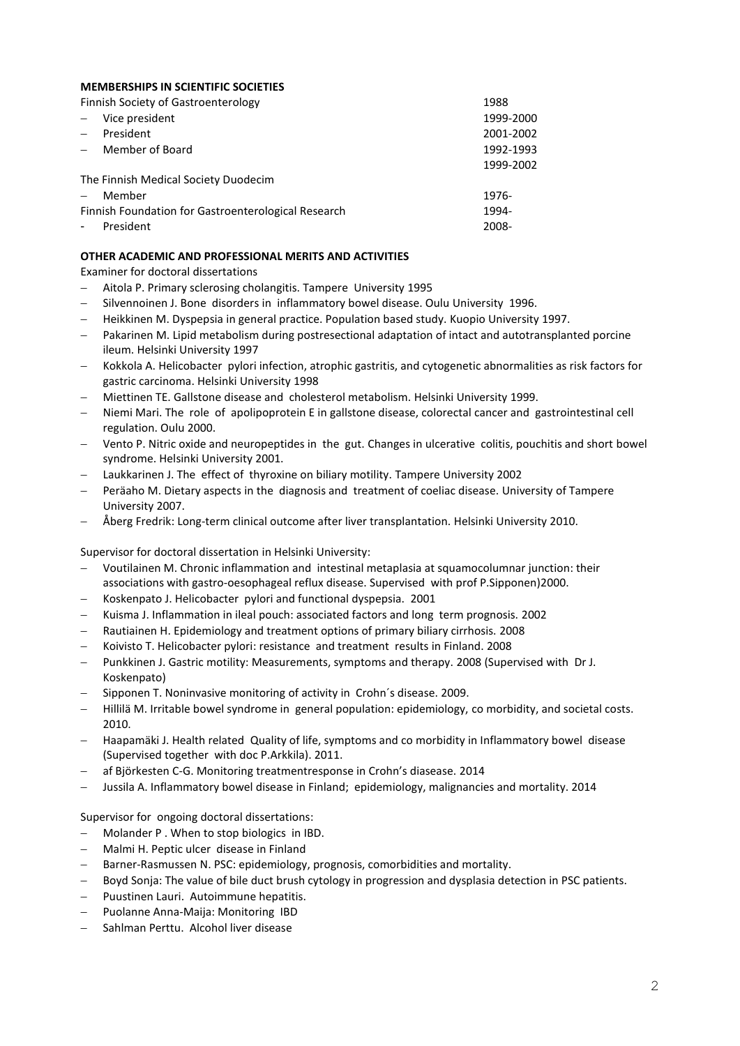#### **MEMBERSHIPS IN SCIENTIFIC SOCIETIES**

| Finnish Society of Gastroenterology | 1988 |
|-------------------------------------|------|
|-------------------------------------|------|

| <b>THING OCICLY OF GASH OCHLETOIORY</b> |                                                     | - 200     |
|-----------------------------------------|-----------------------------------------------------|-----------|
|                                         | Vice president                                      | 1999-2000 |
| $\equiv$                                | President                                           | 2001-2002 |
|                                         | Member of Board                                     | 1992-1993 |
|                                         |                                                     | 1999-2002 |
| The Finnish Medical Society Duodecim    |                                                     |           |
|                                         | Member                                              | 1976-     |
|                                         | Finnish Foundation for Gastroenterological Research | 1994-     |
|                                         | President                                           | 2008-     |

### **OTHER ACADEMIC AND PROFESSIONAL MERITS AND ACTIVITIES**

Examiner for doctoral dissertations

- Aitola P. Primary sclerosing cholangitis. Tampere University 1995
- Silvennoinen J. Bone disorders in inflammatory bowel disease. Oulu University 1996.
- Heikkinen M. Dyspepsia in general practice. Population based study. Kuopio University 1997.
- Pakarinen M. Lipid metabolism during postresectional adaptation of intact and autotransplanted porcine ileum. Helsinki University 1997
- Kokkola A. Helicobacter pylori infection, atrophic gastritis, and cytogenetic abnormalities as risk factors for gastric carcinoma. Helsinki University 1998
- Miettinen TE. Gallstone disease and cholesterol metabolism. Helsinki University 1999.
- Niemi Mari. The role of apolipoprotein E in gallstone disease, colorectal cancer and gastrointestinal cell regulation. Oulu 2000.
- Vento P. Nitric oxide and neuropeptides in the gut. Changes in ulcerative colitis, pouchitis and short bowel syndrome. Helsinki University 2001.
- Laukkarinen J. The effect of thyroxine on biliary motility. Tampere University 2002
- Peräaho M. Dietary aspects in the diagnosis and treatment of coeliac disease. University of Tampere University 2007.
- Åberg Fredrik: Long-term clinical outcome after liver transplantation. Helsinki University 2010.

Supervisor for doctoral dissertation in Helsinki University:

- Voutilainen M. Chronic inflammation and intestinal metaplasia at squamocolumnar junction: their associations with gastro-oesophageal reflux disease. Supervised with prof P.Sipponen)2000.
- Koskenpato J. Helicobacter pylori and functional dyspepsia. 2001
- Kuisma J. Inflammation in ileal pouch: associated factors and long term prognosis. 2002
- Rautiainen H. Epidemiology and treatment options of primary biliary cirrhosis. 2008
- Koivisto T. Helicobacter pylori: resistance and treatment results in Finland. 2008
- Punkkinen J. Gastric motility: Measurements, symptoms and therapy. 2008 (Supervised with Dr J. Koskenpato)
- Sipponen T. Noninvasive monitoring of activity in Crohn´s disease. 2009.
- Hillilä M. Irritable bowel syndrome in general population: epidemiology, co morbidity, and societal costs. 2010.
- Haapamäki J. Health related Quality of life, symptoms and co morbidity in Inflammatory bowel disease (Supervised together with doc P.Arkkila). 2011.
- af Björkesten C-G. Monitoring treatmentresponse in Crohn's diasease. 2014
- Jussila A. Inflammatory bowel disease in Finland; epidemiology, malignancies and mortality. 2014

Supervisor for ongoing doctoral dissertations:

- Molander P . When to stop biologics in IBD.
- Malmi H. Peptic ulcer disease in Finland
- Barner-Rasmussen N. PSC: epidemiology, prognosis, comorbidities and mortality.
- Boyd Sonja: The value of bile duct brush cytology in progression and dysplasia detection in PSC patients.
- Puustinen Lauri. Autoimmune hepatitis.
- Puolanne Anna-Maija: Monitoring IBD
- Sahlman Perttu. Alcohol liver disease